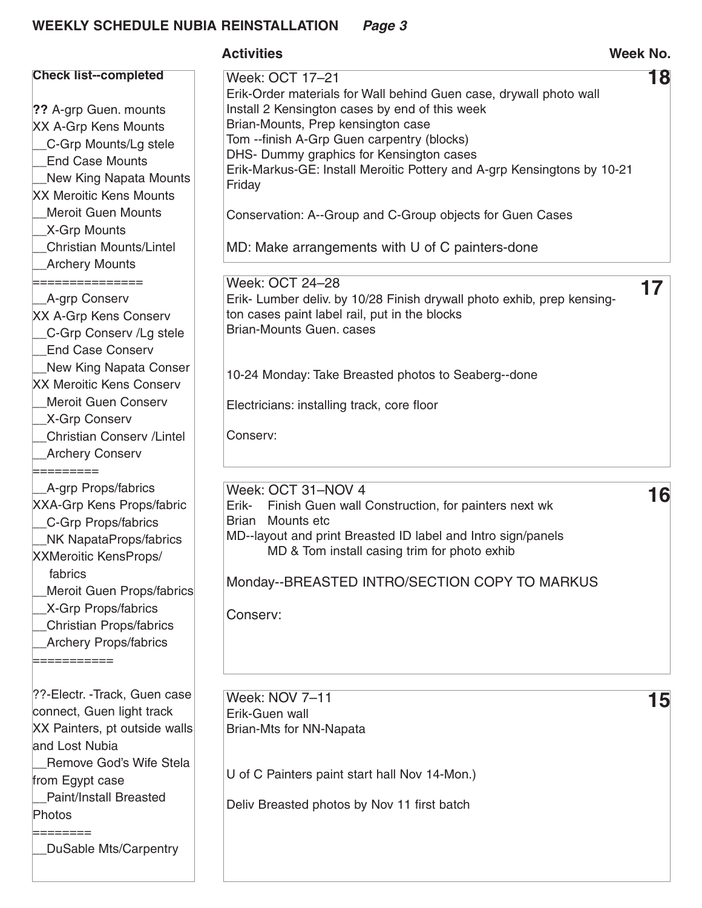|                                                                                                                                                                                                                                                                                                                           | <b>Activities</b>                                                                                                                                                                                                                                                                                                                                                                                                                                                                               | Week No. |
|---------------------------------------------------------------------------------------------------------------------------------------------------------------------------------------------------------------------------------------------------------------------------------------------------------------------------|-------------------------------------------------------------------------------------------------------------------------------------------------------------------------------------------------------------------------------------------------------------------------------------------------------------------------------------------------------------------------------------------------------------------------------------------------------------------------------------------------|----------|
| <b>Check list--completed</b><br>?? A-grp Guen. mounts<br>XX A-Grp Kens Mounts<br>_C-Grp Mounts/Lg stele<br><b>End Case Mounts</b><br>New King Napata Mounts<br><b>XX Meroitic Kens Mounts</b><br><b>Meroit Guen Mounts</b><br>_X-Grp Mounts<br><b>Christian Mounts/Lintel</b><br><b>Archery Mounts</b><br>=============== | Week: OCT 17-21<br>Erik-Order materials for Wall behind Guen case, drywall photo wall<br>Install 2 Kensington cases by end of this week<br>Brian-Mounts, Prep kensington case<br>Tom --finish A-Grp Guen carpentry (blocks)<br>DHS- Dummy graphics for Kensington cases<br>Erik-Markus-GE: Install Meroitic Pottery and A-grp Kensingtons by 10-21<br>Friday<br>Conservation: A--Group and C-Group objects for Guen Cases<br>MD: Make arrangements with U of C painters-done<br>Week: OCT 24-28 | 18<br>17 |
| A-grp Conserv<br>XX A-Grp Kens Conserv<br>C-Grp Conserv /Lg stele<br><b>End Case Conserv</b><br>New King Napata Conser<br><b>XX Meroitic Kens Conserv</b><br><b>Meroit Guen Conserv</b><br>_X-Grp Conserv<br><b>Christian Conserv / Lintel</b><br><b>Archery Conserv</b><br>=========                                     | Erik- Lumber deliv. by 10/28 Finish drywall photo exhib, prep kensing-<br>ton cases paint label rail, put in the blocks<br><b>Brian-Mounts Guen. cases</b><br>10-24 Monday: Take Breasted photos to Seaberg--done<br>Electricians: installing track, core floor<br>Conserv:                                                                                                                                                                                                                     |          |
| _A-grp Props/fabrics<br><b>XXA-Grp Kens Props/fabric</b><br>_C-Grp Props/fabrics<br>_NK NapataProps/fabrics<br><b>XXMeroitic KensProps/</b><br>fabrics<br>Meroit Guen Props/fabrics<br>_X-Grp Props/fabrics<br>_Christian Props/fabrics<br><b>Archery Props/fabrics</b><br>===========                                    | Week: OCT 31-NOV 4<br>Finish Guen wall Construction, for painters next wk<br>Erik-<br>Mounts etc<br>Brian<br>MD--layout and print Breasted ID label and Intro sign/panels<br>MD & Tom install casing trim for photo exhib<br>Monday--BREASTED INTRO/SECTION COPY TO MARKUS<br>Conserv:                                                                                                                                                                                                          | 16       |
| ??-Electr. -Track, Guen case<br>connect, Guen light track<br>XX Painters, pt outside walls<br>and Lost Nubia<br>Remove God's Wife Stela<br>from Egypt case<br><b>Paint/Install Breasted</b><br>Photos<br>========<br>DuSable Mts/Carpentry                                                                                | <b>Week: NOV 7-11</b><br>Erik-Guen wall<br>Brian-Mts for NN-Napata<br>U of C Painters paint start hall Nov 14-Mon.)<br>Deliv Breasted photos by Nov 11 first batch                                                                                                                                                                                                                                                                                                                              | 15       |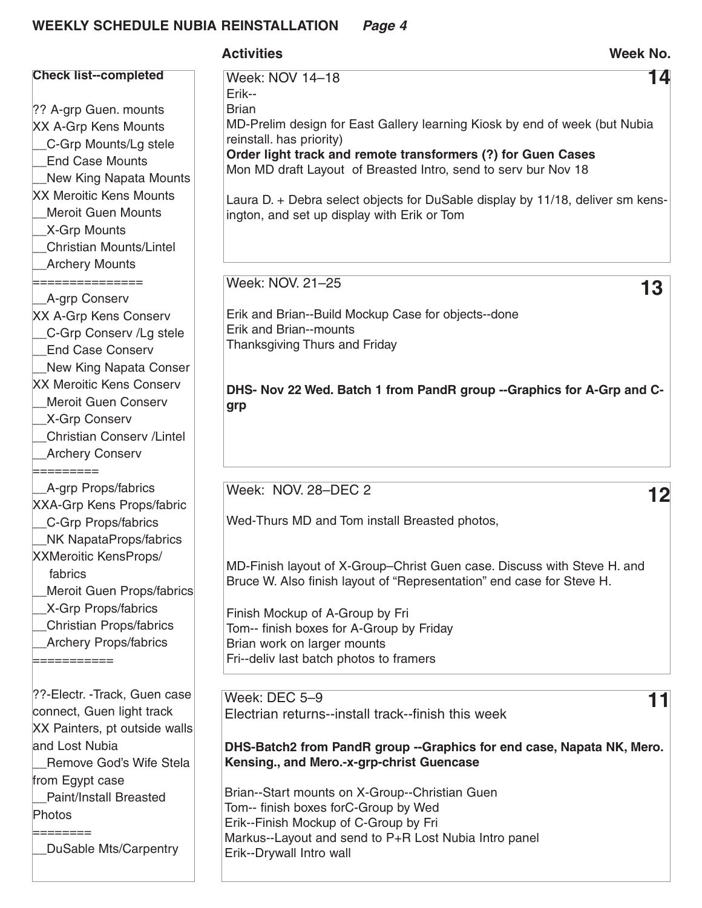|                                                                                                                                                                                                                                                                                  | <b>Activities</b>                                                                                                                                                                                                                                                                                                                                                                                                      | <b>Week No.</b> |
|----------------------------------------------------------------------------------------------------------------------------------------------------------------------------------------------------------------------------------------------------------------------------------|------------------------------------------------------------------------------------------------------------------------------------------------------------------------------------------------------------------------------------------------------------------------------------------------------------------------------------------------------------------------------------------------------------------------|-----------------|
| <b>Check list--completed</b><br>?? A-grp Guen. mounts<br><b>XX A-Grp Kens Mounts</b><br>C-Grp Mounts/Lg stele<br><b>End Case Mounts</b><br><b>New King Napata Mounts</b><br><b>XX Meroitic Kens Mounts</b><br><b>Meroit Guen Mounts</b><br><b>X-Grp Mounts</b>                   | Week: NOV 14-18<br>Erik--<br><b>Brian</b><br>MD-Prelim design for East Gallery learning Kiosk by end of week (but Nubia<br>reinstall. has priority)<br>Order light track and remote transformers (?) for Guen Cases<br>Mon MD draft Layout of Breasted Intro, send to serv bur Nov 18<br>Laura D. + Debra select objects for DuSable display by 11/18, deliver sm kens-<br>ington, and set up display with Erik or Tom | 14              |
| <b>Christian Mounts/Lintel</b><br><b>Archery Mounts</b><br>==============<br><b>A-grp Conserv</b><br><b>XX A-Grp Kens Conserv</b><br>C-Grp Conserv /Lg stele<br><b>End Case Conserv</b>                                                                                          | Week: NOV. 21-25<br>Erik and Brian--Build Mockup Case for objects--done<br><b>Erik and Brian--mounts</b><br><b>Thanksgiving Thurs and Friday</b>                                                                                                                                                                                                                                                                       | 13              |
| New King Napata Conser<br><b>XX Meroitic Kens Conserv</b><br><b>Meroit Guen Conserv</b><br>X-Grp Conserv<br><b>Christian Conserv /Lintel</b><br><b>Archery Conserv</b><br>=========                                                                                              | DHS- Nov 22 Wed. Batch 1 from PandR group -- Graphics for A-Grp and C-<br>grp                                                                                                                                                                                                                                                                                                                                          |                 |
| A-grp Props/fabrics<br><b>XXA-Grp Kens Props/fabric</b><br>C-Grp Props/fabrics<br>NK NapataProps/fabrics<br><b>XXMeroitic KensProps/</b><br>fabrics<br>Meroit Guen Props/fabrics<br><b>X-Grp Props/fabrics</b><br><b>Christian Props/fabrics</b><br><b>Archery Props/fabrics</b> | Week: NOV. 28-DEC 2<br>Wed-Thurs MD and Tom install Breasted photos,<br>MD-Finish layout of X-Group-Christ Guen case. Discuss with Steve H. and<br>Bruce W. Also finish layout of "Representation" end case for Steve H.<br>Finish Mockup of A-Group by Fri<br>Tom-- finish boxes for A-Group by Friday<br>Brian work on larger mounts<br>Fri--deliv last batch photos to framers                                      | 12              |
| ??-Electr. -Track, Guen case<br>connect, Guen light track<br>XX Painters, pt outside walls<br>and Lost Nubia<br>Remove God's Wife Stela<br>from Egypt case<br>Paint/Install Breasted<br>Photos<br>========<br>DuSable Mts/Carpentry                                              | Week: DEC 5-9<br>Electrian returns--install track--finish this week<br>DHS-Batch2 from PandR group --Graphics for end case, Napata NK, Mero.<br>Kensing., and Mero.-x-grp-christ Guencase<br>Brian--Start mounts on X-Group--Christian Guen<br>Tom-- finish boxes forC-Group by Wed<br>Erik--Finish Mockup of C-Group by Fri<br>Markus--Layout and send to P+R Lost Nubia Intro panel<br>Erik--Drywall Intro wall      | 11              |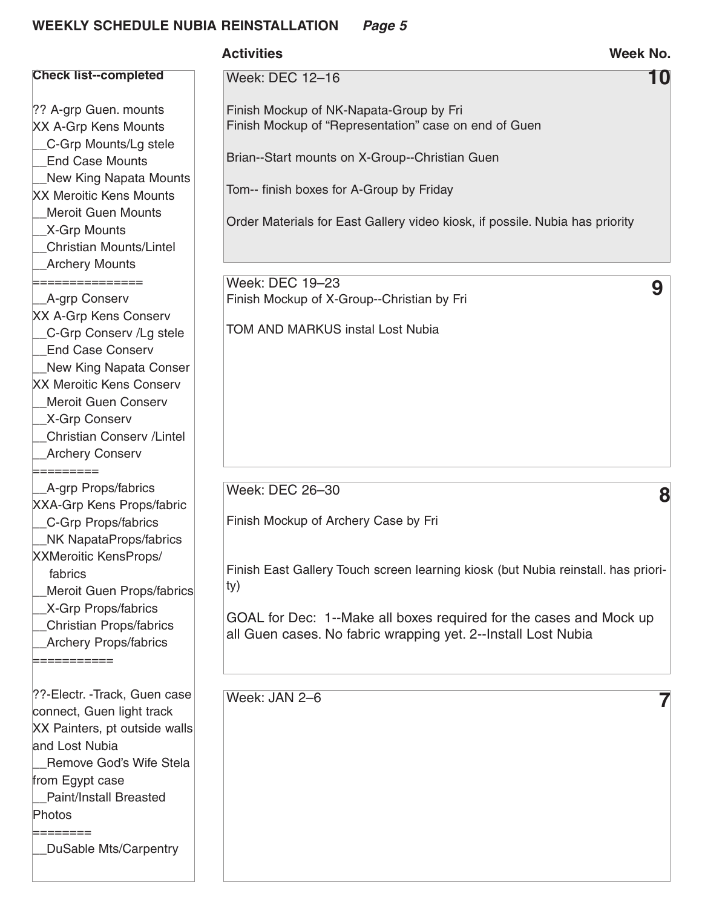|                                                                                                                                                                                                                                                                                                                      | <b>Activities</b>                                                                                                                                                                                                                                                                          | <b>Week No.</b> |
|----------------------------------------------------------------------------------------------------------------------------------------------------------------------------------------------------------------------------------------------------------------------------------------------------------------------|--------------------------------------------------------------------------------------------------------------------------------------------------------------------------------------------------------------------------------------------------------------------------------------------|-----------------|
| <b>Check list--completed</b>                                                                                                                                                                                                                                                                                         | <b>Week: DEC 12-16</b>                                                                                                                                                                                                                                                                     | 10              |
| ?? A-grp Guen. mounts<br>XX A-Grp Kens Mounts<br>C-Grp Mounts/Lg stele<br><b>End Case Mounts</b><br>New King Napata Mounts<br><b>XX Meroitic Kens Mounts</b>                                                                                                                                                         | Finish Mockup of NK-Napata-Group by Fri<br>Finish Mockup of "Representation" case on end of Guen<br>Brian--Start mounts on X-Group--Christian Guen<br>Tom-- finish boxes for A-Group by Friday                                                                                             |                 |
| <b>Meroit Guen Mounts</b><br>_X-Grp Mounts<br><b>Christian Mounts/Lintel</b><br><b>Archery Mounts</b>                                                                                                                                                                                                                | Order Materials for East Gallery video kiosk, if possile. Nubia has priority                                                                                                                                                                                                               |                 |
| ===============<br>_A-grp Conserv<br><b>XX A-Grp Kens Conserv</b><br>C-Grp Conserv /Lg stele<br><b>End Case Conserv</b><br>New King Napata Conser<br><b>XX Meroitic Kens Conserv</b><br>Meroit Guen Conserv<br><b>X-Grp Conserv</b><br><b>Christian Conserv / Lintel</b><br><b>Archery Conserv</b>                   | Week: DEC 19-23<br>Finish Mockup of X-Group--Christian by Fri<br><b>TOM AND MARKUS instal Lost Nubia</b>                                                                                                                                                                                   | 9               |
| =========<br>_A-grp Props/fabrics<br><b>XXA-Grp Kens Props/fabric</b><br>C-Grp Props/fabrics<br>NK NapataProps/fabrics<br><b>XXMeroitic KensProps/</b><br>fabrics<br><b>Meroit Guen Props/fabrics</b><br><b>X-Grp Props/fabrics</b><br><b>Christian Props/fabrics</b><br><b>Archery Props/fabrics</b><br>=========== | Week: DEC 26-30<br>Finish Mockup of Archery Case by Fri<br>Finish East Gallery Touch screen learning kiosk (but Nubia reinstall. has priori-<br>ty)<br>GOAL for Dec: 1--Make all boxes required for the cases and Mock up<br>all Guen cases. No fabric wrapping yet. 2--Install Lost Nubia | 8               |
| ??-Electr. -Track, Guen case<br>connect, Guen light track<br>XX Painters, pt outside walls<br>and Lost Nubia<br>Remove God's Wife Stela<br>from Egypt case<br>Paint/Install Breasted<br>Photos<br><b>DuSable Mts/Carpentry</b>                                                                                       | Week: JAN 2-6                                                                                                                                                                                                                                                                              |                 |